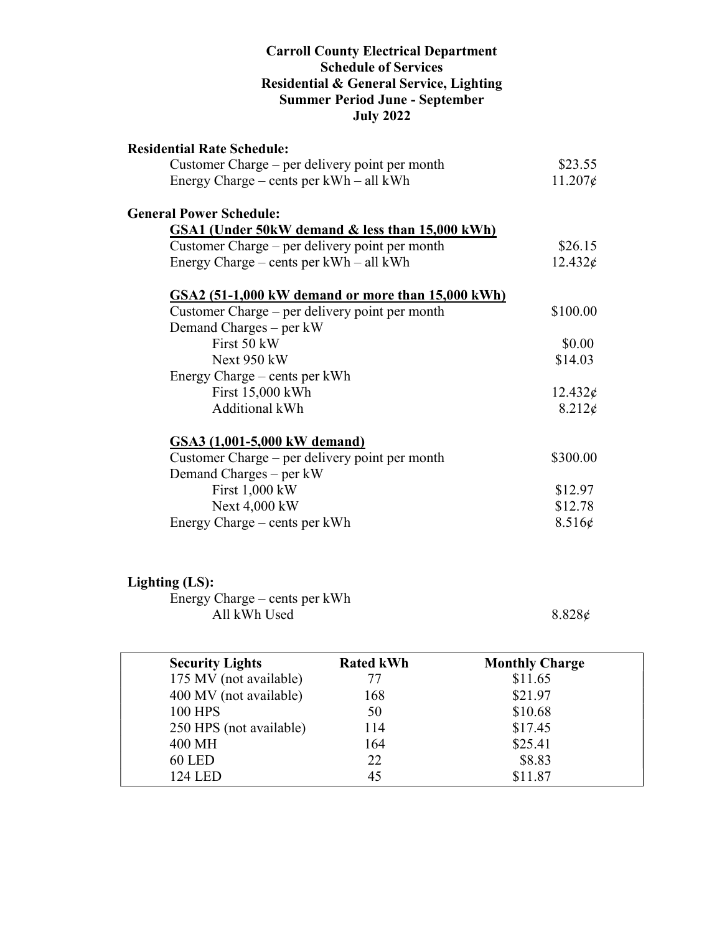#### Carroll County Electrical Department Schedule of Services Residential & General Service, Lighting Summer Period June - September July 2022

| <b>Residential Rate Schedule:</b>                 |                  |
|---------------------------------------------------|------------------|
| Customer Charge – per delivery point per month    | \$23.55          |
| Energy Charge – cents per $kWh - all kWh$         | $11.207\epsilon$ |
| <b>General Power Schedule:</b>                    |                  |
| GSA1 (Under 50kW demand & less than 15,000 kWh)   |                  |
| Customer Charge – per delivery point per month    | \$26.15          |
| Energy Charge – cents per $kWh - all kWh$         | $12.432\epsilon$ |
| GSA2 (51-1,000 kW demand or more than 15,000 kWh) |                  |
| Customer Charge – per delivery point per month    | \$100.00         |
| Demand Charges – per kW                           |                  |
| First 50 kW                                       | \$0.00           |
| Next 950 kW                                       | \$14.03          |
| Energy Charge – cents per kWh                     |                  |
| First 15,000 kWh                                  | $12.432\phi$     |
| <b>Additional kWh</b>                             | $8.212\epsilon$  |
| GSA3 (1,001-5,000 kW demand)                      |                  |
| Customer Charge – per delivery point per month    | \$300.00         |
| Demand Charges – per kW                           |                  |
| First 1,000 kW                                    | \$12.97          |
| Next 4,000 kW                                     | \$12.78          |
| Energy Charge – cents per kWh                     | 8.516¢           |

## Lighting (LS):

 Energy Charge – cents per kWh All kWh Used  $8.828\phi$ 

| <b>Security Lights</b>  | <b>Rated kWh</b> | <b>Monthly Charge</b> |  |
|-------------------------|------------------|-----------------------|--|
| 175 MV (not available)  | 77               | \$11.65               |  |
| 400 MV (not available)  | 168              | \$21.97               |  |
| <b>100 HPS</b>          | 50               | \$10.68               |  |
| 250 HPS (not available) | 114              | \$17.45               |  |
| 400 MH                  | 164              | \$25.41               |  |
| <b>60 LED</b>           | 22               | \$8.83                |  |
| <b>124 LED</b>          | 45               | \$11.87               |  |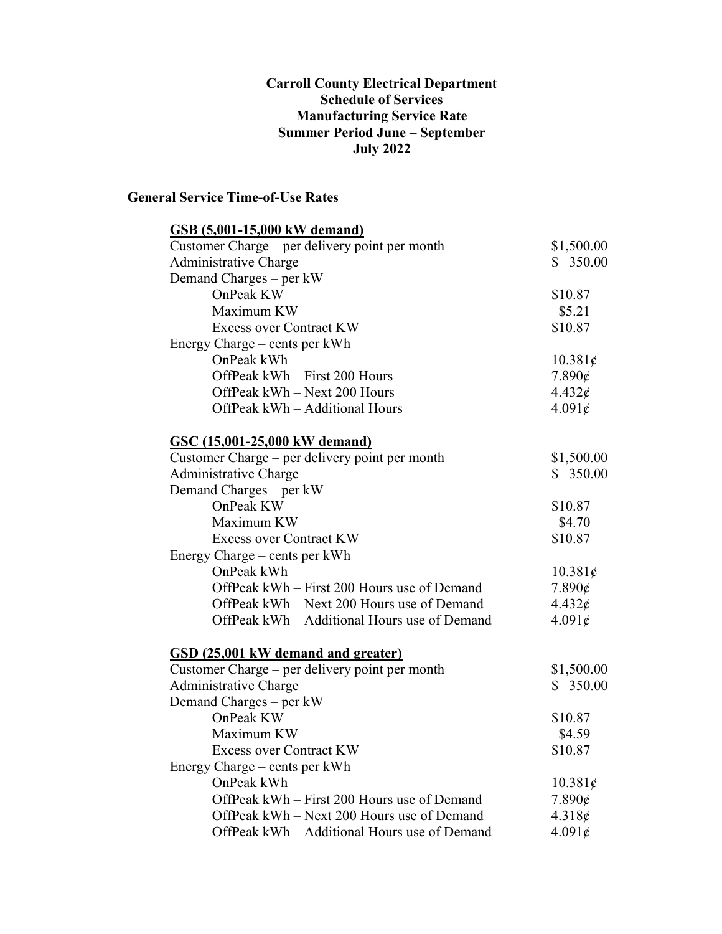#### Carroll County Electrical Department Schedule of Services Manufacturing Service Rate Summer Period June – September July 2022

### General Service Time-of-Use Rates

| <b>GSB</b> (5,001-15,000 kW demand)            |                 |
|------------------------------------------------|-----------------|
| Customer Charge – per delivery point per month | \$1,500.00      |
| Administrative Charge                          | \$350.00        |
| Demand Charges – per kW                        |                 |
| OnPeak KW                                      | \$10.87         |
| Maximum KW                                     | \$5.21          |
| <b>Excess over Contract KW</b>                 | \$10.87         |
| Energy Charge – cents per kWh                  |                 |
| OnPeak kWh                                     | 10.381¢         |
| OffPeak kWh - First 200 Hours                  | $7.890\epsilon$ |
| OffPeak kWh - Next 200 Hours                   | $4.432\epsilon$ |
| OffPeak kWh - Additional Hours                 | $4.091\epsilon$ |
| <b>GSC (15,001-25,000 kW demand)</b>           |                 |
| Customer Charge – per delivery point per month | \$1,500.00      |
| <b>Administrative Charge</b>                   | \$350.00        |
| Demand Charges – per kW                        |                 |
| OnPeak KW                                      | \$10.87         |
| Maximum KW                                     | \$4.70          |
| <b>Excess over Contract KW</b>                 | \$10.87         |
| Energy Charge – cents per kWh                  |                 |
| OnPeak kWh                                     | 10.381¢         |
| OffPeak kWh – First 200 Hours use of Demand    | $7.890\epsilon$ |
| OffPeak kWh – Next 200 Hours use of Demand     | $4.432\epsilon$ |
| OffPeak kWh – Additional Hours use of Demand   | 4.091¢          |
| GSD (25,001 kW demand and greater)             |                 |
| Customer Charge - per delivery point per month | \$1,500.00      |
| Administrative Charge                          | \$350.00        |
| Demand Charges – per kW                        |                 |
| OnPeak KW                                      | \$10.87         |
| Maximum KW                                     | \$4.59          |
| <b>Excess over Contract KW</b>                 | \$10.87         |
| Energy Charge – cents per kWh                  |                 |
| OnPeak kWh                                     | 10.381¢         |
| OffPeak kWh – First 200 Hours use of Demand    | $7.890\epsilon$ |
| OffPeak kWh - Next 200 Hours use of Demand     | 4.318c          |
| OffPeak kWh - Additional Hours use of Demand   | 4.091¢          |